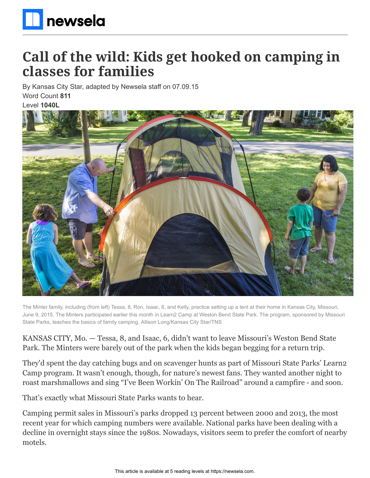

# **Call of the wild: Kids get hooked on camping in classes for families**

By Kansas City Star, adapted by Newsela staff on 07.09.15 Word Count **811**

Level **1040L**



The Minter family, including (from left) Tessa, 8, Ron, Isaac, 6, and Kelly, practice setting up a tent at their home in Kansas City, Missouri, June 9, 2015. The Minters participated earlier this month in Learn2 Camp at Weston Bend State Park. The program, sponsored by Missouri State Parks, teaches the basics of family camping. Allison Long/Kansas City Star/TNS

KANSAS CITY, Mo. — Tessa, 8, and Isaac, 6, didn't want to leave Missouri's Weston Bend State Park. The Minters were barely out of the park when the kids began begging for a return trip.

They'd spent the day catching bugs and on scavenger hunts as part of Missouri State Parks' Learn2 Camp program. It wasn't enough, though, for nature's newest fans. They wanted another night to roast marshmallows and sing "I've Been Workin' On The Railroad" around a campfire - and soon.

That's exactly what Missouri State Parks wants to hear.

Camping permit sales in Missouri's parks dropped 13 percent between 2000 and 2013, the most recent year for which camping numbers were available. National parks have been dealing with a decline in overnight stays since the 1980s. Nowadays, visitors seem to prefer the comfort of nearby motels.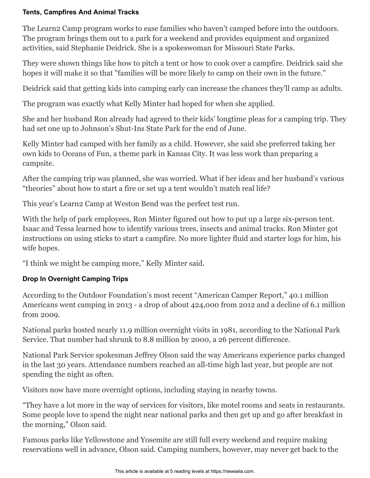#### **Tents, Campfires And Animal Tracks**

The Learn2 Camp program works to ease families who haven't camped before into the outdoors. The program brings them out to a park for a weekend and provides equipment and organized activities, said Stephanie Deidrick. She is a spokeswoman for Missouri State Parks.

They were shown things like how to pitch a tent or how to cook over a campfire. Deidrick said she hopes it will make it so that "families will be more likely to camp on their own in the future."

Deidrick said that getting kids into camping early can increase the chances they'll camp as adults.

The program was exactly what Kelly Minter had hoped for when she applied.

She and her husband Ron already had agreed to their kids' longtime pleas for a camping trip. They had set one up to Johnson's Shut-Ins State Park for the end of June.

Kelly Minter had camped with her family as a child. However, she said she preferred taking her own kids to Oceans of Fun, a theme park in Kansas City. It was less work than preparing a campsite.

After the camping trip was planned, she was worried. What if her ideas and her husband's various "theories" about how to start a fire or set up a tent wouldn't match real life?

This year's Learn2 Camp at Weston Bend was the perfect test run.

With the help of park employees, Ron Minter figured out how to put up a large six-person tent. Isaac and Tessa learned how to identify various trees, insects and animal tracks. Ron Minter got instructions on using sticks to start a campfire. No more lighter fluid and starter logs for him, his wife hopes.

"I think we might be camping more," Kelly Minter said.

## **Drop In Overnight Camping Trips**

According to the Outdoor Foundation's most recent "American Camper Report," 40.1 million Americans went camping in 2013 - a drop of about 424,000 from 2012 and a decline of 6.1 million from 2009.

National parks hosted nearly 11.9 million overnight visits in 1981, according to the National Park Service. That number had shrunk to 8.8 million by 2000, a 26 percent difference.

National Park Service spokesman Jeffrey Olson said the way Americans experience parks changed in the last 30 years. Attendance numbers reached an all-time high last year, but people are not spending the night as often.

Visitors now have more overnight options, including staying in nearby towns.

"They have a lot more in the way of services for visitors, like motel rooms and seats in restaurants. Some people love to spend the night near national parks and then get up and go after breakfast in the morning," Olson said.

Famous parks like Yellowstone and Yosemite are still full every weekend and require making reservations well in advance, Olson said. Camping numbers, however, may never get back to the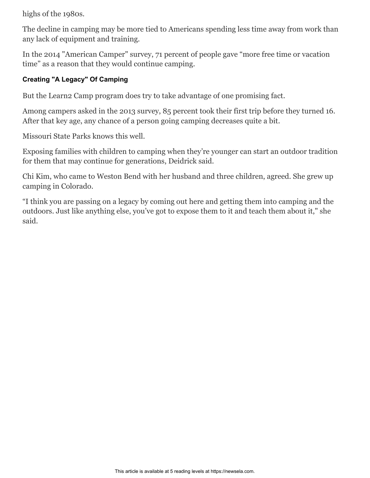highs of the 1980s.

The decline in camping may be more tied to Americans spending less time away from work than any lack of equipment and training.

In the 2014 "American Camper" survey, 71 percent of people gave "more free time or vacation time" as a reason that they would continue camping.

### **Creating "A Legacy" Of Camping**

But the Learn2 Camp program does try to take advantage of one promising fact.

Among campers asked in the 2013 survey, 85 percent took their first trip before they turned 16. After that key age, any chance of a person going camping decreases quite a bit.

Missouri State Parks knows this well.

Exposing families with children to camping when they're younger can start an outdoor tradition for them that may continue for generations, Deidrick said.

Chi Kim, who came to Weston Bend with her husband and three children, agreed. She grew up camping in Colorado.

"I think you are passing on a legacy by coming out here and getting them into camping and the outdoors. Just like anything else, you've got to expose them to it and teach them about it," she said.